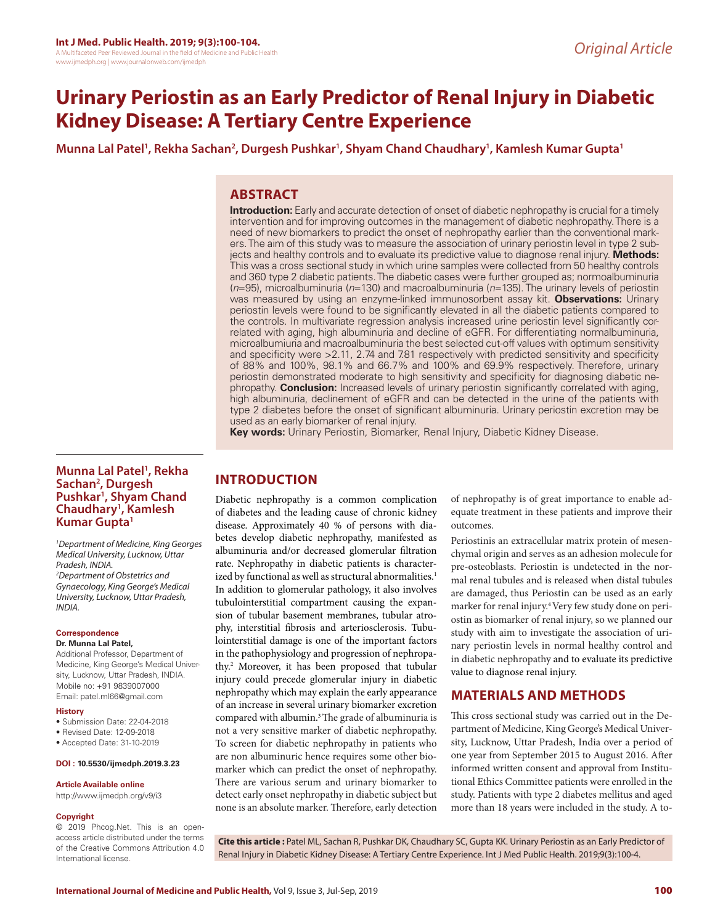# **Urinary Periostin as an Early Predictor of Renal Injury in Diabetic Kidney Disease: A Tertiary Centre Experience**

Munna Lal Patel<sup>1</sup>, Rekha Sachan<sup>2</sup>, Durgesh Pushkar<sup>1</sup>, Shyam Chand Chaudhary<sup>1</sup>, Kamlesh Kumar Gupta<sup>1</sup>

## **ABSTRACT**

**Introduction:** Early and accurate detection of onset of diabetic nephropathy is crucial for a timely intervention and for improving outcomes in the management of diabetic nephropathy. There is a need of new biomarkers to predict the onset of nephropathy earlier than the conventional markers. The aim of this study was to measure the association of urinary periostin level in type 2 subjects and healthy controls and to evaluate its predictive value to diagnose renal injury. **Methods:**  This was a cross sectional study in which urine samples were collected from 50 healthy controls and 360 type 2 diabetic patients. The diabetic cases were further grouped as; normoalbuminuria (*n*=95), microalbuminuria (*n*=130) and macroalbuminuria (*n*=135). The urinary levels of periostin was measured by using an enzyme-linked immunosorbent assay kit. **Observations:** Urinary periostin levels were found to be significantly elevated in all the diabetic patients compared to the controls. In multivariate regression analysis increased urine periostin level significantly correlated with aging, high albuminuria and decline of eGFR. For differentiating normalbuminuria, microalbumiuria and macroalbuminuria the best selected cut-off values with optimum sensitivity and specificity were >2.11, 2.74 and 7.81 respectively with predicted sensitivity and specificity of 88% and 100%, 98.1% and 66.7% and 100% and 69.9% respectively. Therefore, urinary periostin demonstrated moderate to high sensitivity and specificity for diagnosing diabetic nephropathy. **Conclusion:** Increased levels of urinary periostin significantly correlated with aging, high albuminuria, declinement of eGFR and can be detected in the urine of the patients with type 2 diabetes before the onset of significant albuminuria. Urinary periostin excretion may be used as an early biomarker of renal injury.

**Key words:** Urinary Periostin, Biomarker, Renal Injury, Diabetic Kidney Disease.

#### **Munna Lal Patel1 , Rekha Sachan2 , Durgesh Pushkar1 , Shyam Chand Chaudhary1 , Kamlesh Kumar Gupta1**

*1 Department of Medicine, King Georges Medical University, Lucknow, Uttar Pradesh, INDIA. 2 Department of Obstetrics and Gynaecology, King George's Medical University, Lucknow, Uttar Pradesh, INDIA.*

#### **Correspondence**

**Dr. Munna Lal Patel,**

Additional Professor, Department of Medicine, King George's Medical University, Lucknow, Uttar Pradesh, INDIA. Mobile no: +91 9839007000 Email: patel.ml66@gmail.com

#### **History**

- Submission Date: 22-04-2018
- Revised Date: 12-09-2018
- Accepted Date: 31-10-2019

#### **DOI : 10.5530/ijmedph.2019.3.23**

#### **Article Available online**

http://www.ijmedph.org/v9/i3

#### **Copyright**

© 2019 Phcog.Net. This is an openaccess article distributed under the terms of the Creative Commons Attribution 4.0 International license.

# **INTRODUCTION**

Diabetic nephropathy is a common complication of diabetes and the leading cause of chronic kidney disease. Approximately 40 % of persons with diabetes develop diabetic nephropathy, manifested as albuminuria and/or decreased glomerular filtration rate. Nephropathy in diabetic patients is characterized by functional as well as structural abnormalities.<sup>1</sup> In addition to glomerular pathology, it also involves tubulointerstitial compartment causing the expansion of tubular basement membranes, tubular atrophy, interstitial fibrosis and arteriosclerosis. Tubulointerstitial damage is one of the important factors in the pathophysiology and progression of nephropathy.2 Moreover, it has been proposed that tubular injury could precede glomerular injury in diabetic nephropathy which may explain the early appearance of an increase in several urinary biomarker excretion compared with albumin.3 The grade of albuminuria is not a very sensitive marker of diabetic nephropathy. To screen for diabetic nephropathy in patients who are non albuminuric hence requires some other biomarker which can predict the onset of nephropathy. There are various serum and urinary biomarker to detect early onset nephropathy in diabetic subject but none is an absolute marker. Therefore, early detection

of nephropathy is of great importance to enable adequate treatment in these patients and improve their outcomes.

Periostinis an extracellular matrix protein of mesenchymal origin and serves as an adhesion molecule for pre-osteoblasts. Periostin is undetected in the normal renal tubules and is released when distal tubules are damaged, thus Periostin can be used as an early marker for renal injury.4 Very few study done on periostin as biomarker of renal injury, so we planned our study with aim to investigate the association of urinary periostin levels in normal healthy control and in diabetic nephropathy and to evaluate its predictive value to diagnose renal injury.

### **MATERIALS AND METHODS**

This cross sectional study was carried out in the Department of Medicine, King George's Medical University, Lucknow, Uttar Pradesh, India over a period of one year from September 2015 to August 2016. After informed written consent and approval from Institutional Ethics Committee patients were enrolled in the study. Patients with type 2 diabetes mellitus and aged more than 18 years were included in the study. A to-

**Cite this article :** Patel ML, Sachan R, Pushkar DK, Chaudhary SC, Gupta KK. Urinary Periostin as an Early Predictor of Renal Injury in Diabetic Kidney Disease: A Tertiary Centre Experience. Int J Med Public Health. 2019;9(3):100-4.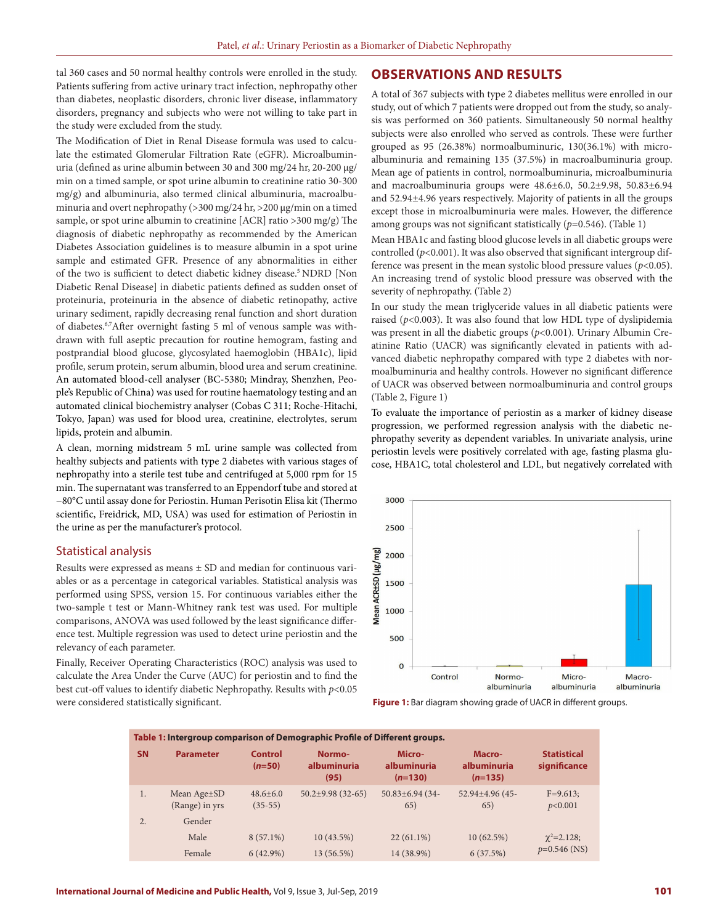tal 360 cases and 50 normal healthy controls were enrolled in the study. Patients suffering from active urinary tract infection, nephropathy other than diabetes, neoplastic disorders, chronic liver disease, inflammatory disorders, pregnancy and subjects who were not willing to take part in the study were excluded from the study.

The Modification of Diet in Renal Disease formula was used to calculate the estimated Glomerular Filtration Rate (eGFR). Microalbuminuria (defined as urine albumin between 30 and 300 mg/24 hr, 20-200 μg/ min on a timed sample, or spot urine albumin to creatinine ratio 30-300 mg/g) and albuminuria, also termed clinical albuminuria, macroalbuminuria and overt nephropathy (>300 mg/24 hr, >200 μg/min on a timed sample, or spot urine albumin to creatinine [ACR] ratio >300 mg/g) The diagnosis of diabetic nephropathy as recommended by the American Diabetes Association guidelines is to measure albumin in a spot urine sample and estimated GFR. Presence of any abnormalities in either of the two is sufficient to detect diabetic kidney disease.<sup>5</sup> NDRD [Non Diabetic Renal Disease] in diabetic patients defined as sudden onset of proteinuria, proteinuria in the absence of diabetic retinopathy, active urinary sediment, rapidly decreasing renal function and short duration of diabetes.6,7After overnight fasting 5 ml of venous sample was withdrawn with full aseptic precaution for routine hemogram, fasting and postprandial blood glucose, glycosylated haemoglobin (HBA1c), lipid profile, serum protein, serum albumin, blood urea and serum creatinine. An automated blood-cell analyser (BC-5380; Mindray, Shenzhen, People's Republic of China) was used for routine haematology testing and an automated clinical biochemistry analyser (Cobas C 311; Roche-Hitachi, Tokyo, Japan) was used for blood urea, creatinine, electrolytes, serum lipids, protein and albumin.

A clean, morning midstream 5 mL urine sample was collected from healthy subjects and patients with type 2 diabetes with various stages of nephropathy into a sterile test tube and centrifuged at 5,000 rpm for 15 min. The supernatant was transferred to an Eppendorf tube and stored at −80°C until assay done for Periostin. Human Perisotin Elisa kit (Thermo scientific, Freidrick, MD, USA) was used for estimation of Periostin in the urine as per the manufacturer's protocol.

### Statistical analysis

Results were expressed as means ± SD and median for continuous variables or as a percentage in categorical variables. Statistical analysis was performed using SPSS, version 15. For continuous variables either the two-sample t test or Mann-Whitney rank test was used. For multiple comparisons, ANOVA was used followed by the least significance difference test. Multiple regression was used to detect urine periostin and the relevancy of each parameter.

Finally, Receiver Operating Characteristics (ROC) analysis was used to calculate the Area Under the Curve (AUC) for periostin and to find the best cut-off values to identify diabetic Nephropathy. Results with *p*<0.05 were considered statistically significant.

#### **OBSERVATIONS AND RESULTS**

A total of 367 subjects with type 2 diabetes mellitus were enrolled in our study, out of which 7 patients were dropped out from the study, so analysis was performed on 360 patients. Simultaneously 50 normal healthy subjects were also enrolled who served as controls. These were further grouped as 95 (26.38%) normoalbuminuric, 130(36.1%) with microalbuminuria and remaining 135 (37.5%) in macroalbuminuria group. Mean age of patients in control, normoalbuminuria, microalbuminuria and macroalbuminuria groups were 48.6±6.0, 50.2±9.98, 50.83±6.94 and 52.94±4.96 years respectively. Majority of patients in all the groups except those in microalbuminuria were males. However, the difference among groups was not significant statistically (*p*=0.546). (Table 1)

Mean HBA1c and fasting blood glucose levels in all diabetic groups were controlled ( $p<0.001$ ). It was also observed that significant intergroup difference was present in the mean systolic blood pressure values  $(p<0.05)$ . An increasing trend of systolic blood pressure was observed with the severity of nephropathy. (Table 2)

In our study the mean triglyceride values in all diabetic patients were raised (*p*<0.003). It was also found that low HDL type of dyslipidemia was present in all the diabetic groups ( $p$ <0.001). Urinary Albumin Creatinine Ratio (UACR) was significantly elevated in patients with advanced diabetic nephropathy compared with type 2 diabetes with normoalbuminuria and healthy controls. However no significant difference of UACR was observed between normoalbuminuria and control groups (Table 2, Figure 1)

To evaluate the importance of periostin as a marker of kidney disease progression, we performed regression analysis with the diabetic nephropathy severity as dependent variables. In univariate analysis, urine periostin levels were positively correlated with age, fasting plasma glucose, HBA1C, total cholesterol and LDL, but negatively correlated with



**Figure 1:** Bar diagram showing grade of UACR in different groups.

| Table 1: Intergroup comparison of Demographic Profile of Different groups. |                                            |                            |                               |                                    |                                    |                                    |  |  |  |
|----------------------------------------------------------------------------|--------------------------------------------|----------------------------|-------------------------------|------------------------------------|------------------------------------|------------------------------------|--|--|--|
| <b>SN</b>                                                                  | <b>Parameter</b>                           | <b>Control</b><br>$(n=50)$ | Normo-<br>albuminuria<br>(95) | Micro-<br>albuminuria<br>$(n=130)$ | Macro-<br>albuminuria<br>$(n=135)$ | <b>Statistical</b><br>significance |  |  |  |
| 1.                                                                         | Mean Age <sup>+</sup> SD<br>(Range) in yrs | $48.6 + 6.0$<br>$(35-55)$  | $50.2 \pm 9.98$ (32-65)       | $50.83 \pm 6.94$ (34-<br>65)       | 52.94±4.96 (45-<br>65)             | $F=9.613$ ;<br>p<0.001             |  |  |  |
| $\overline{2}$ .                                                           | Gender                                     |                            |                               |                                    |                                    |                                    |  |  |  |
|                                                                            | Male                                       | $8(57.1\%)$                | $10(43.5\%)$                  | $22(61.1\%)$                       | 10(62.5%)                          | $\chi^2 = 2.128$ ;                 |  |  |  |
|                                                                            | Female                                     | $6(42.9\%)$                | 13 (56.5%)                    | 14 (38.9%)                         | 6(37.5%)                           | $p=0.546$ (NS)                     |  |  |  |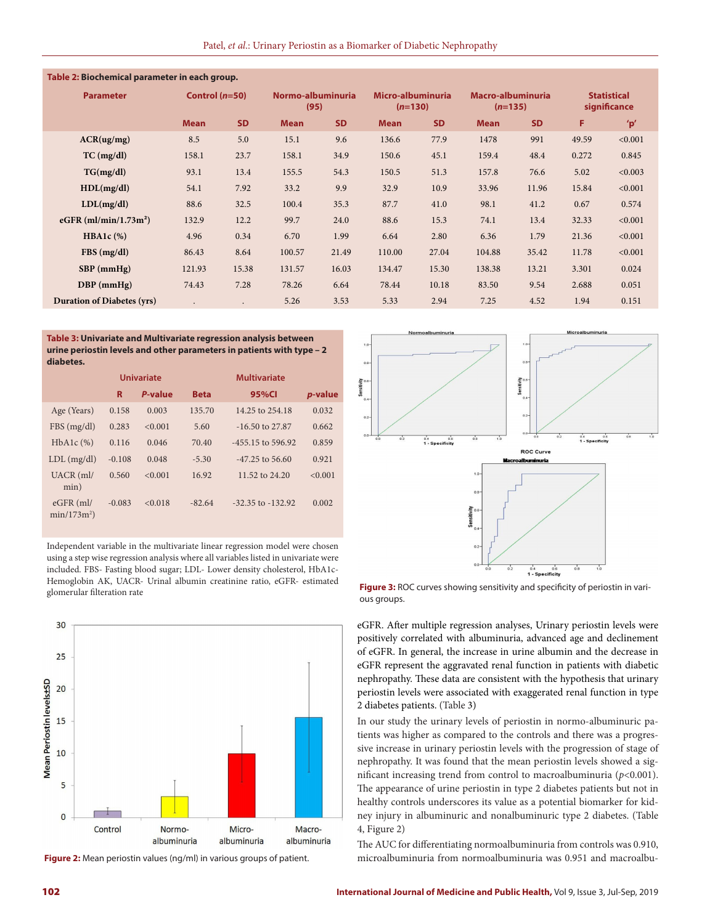| Table 2: Biochemical parameter in each group. |                  |           |                           |           |                                |           |                                |           |                                    |         |
|-----------------------------------------------|------------------|-----------|---------------------------|-----------|--------------------------------|-----------|--------------------------------|-----------|------------------------------------|---------|
| <b>Parameter</b>                              | Control $(n=50)$ |           | Normo-albuminuria<br>(95) |           | Micro-albuminuria<br>$(n=130)$ |           | Macro-albuminuria<br>$(n=135)$ |           | <b>Statistical</b><br>significance |         |
|                                               | <b>Mean</b>      | <b>SD</b> | <b>Mean</b>               | <b>SD</b> | <b>Mean</b>                    | <b>SD</b> | <b>Mean</b>                    | <b>SD</b> | F.                                 | 'p'     |
| ACR(ug/mg)                                    | 8.5              | 5.0       | 15.1                      | 9.6       | 136.6                          | 77.9      | 1478                           | 991       | 49.59                              | < 0.001 |
| $TC$ (mg/dl)                                  | 158.1            | 23.7      | 158.1                     | 34.9      | 150.6                          | 45.1      | 159.4                          | 48.4      | 0.272                              | 0.845   |
| TG(mg/dl)                                     | 93.1             | 13.4      | 155.5                     | 54.3      | 150.5                          | 51.3      | 157.8                          | 76.6      | 5.02                               | < 0.003 |
| HDL(mg/dl)                                    | 54.1             | 7.92      | 33.2                      | 9.9       | 32.9                           | 10.9      | 33.96                          | 11.96     | 15.84                              | < 0.001 |
| LDL(mg/dl)                                    | 88.6             | 32.5      | 100.4                     | 35.3      | 87.7                           | 41.0      | 98.1                           | 41.2      | 0.67                               | 0.574   |
| eGFR $(ml/min/1.73m2)$                        | 132.9            | 12.2      | 99.7                      | 24.0      | 88.6                           | 15.3      | 74.1                           | 13.4      | 32.33                              | < 0.001 |
| $HBA1c$ (%)                                   | 4.96             | 0.34      | 6.70                      | 1.99      | 6.64                           | 2.80      | 6.36                           | 1.79      | 21.36                              | < 0.001 |
| FBS(mg/dl)                                    | 86.43            | 8.64      | 100.57                    | 21.49     | 110.00                         | 27.04     | 104.88                         | 35.42     | 11.78                              | < 0.001 |
| $SBP$ (mmHg)                                  | 121.93           | 15.38     | 131.57                    | 16.03     | 134.47                         | 15.30     | 138.38                         | 13.21     | 3.301                              | 0.024   |
| $DBP$ (mmHg)                                  | 74.43            | 7.28      | 78.26                     | 6.64      | 78.44                          | 10.18     | 83.50                          | 9.54      | 2.688                              | 0.051   |
| <b>Duration of Diabetes (yrs)</b>             | $\bullet$        | $\bullet$ | 5.26                      | 3.53      | 5.33                           | 2.94      | 7.25                           | 4.52      | 1.94                               | 0.151   |

**Table 3: Univariate and Multivariate regression analysis between urine periostin levels and other parameters in patients with type – 2 diabetes.**

|                             |          | Univariate |             | Multivariate          |                 |
|-----------------------------|----------|------------|-------------|-----------------------|-----------------|
|                             | R        | P-value    | <b>Beta</b> | 95%CI                 | <i>p</i> -value |
| Age (Years)                 | 0.158    | 0.003      | 135.70      | 14.25 to 254.18       | 0.032           |
| FBS(mg/dl)                  | 0.283    | < 0.001    | 5.60        | $-16.50$ to 27.87     | 0.662           |
| $HbA1c$ $(\%)$              | 0.116    | 0.046      | 70.40       | $-455.15$ to 596.92   | 0.859           |
| $LDL$ (mg/dl)               | $-0.108$ | 0.048      | $-5.30$     | $-47.25$ to 56.60     | 0.921           |
| $UACR$ (ml/<br>min)         | 0.560    | < 0.001    | 16.92       | 11.52 to 24.20        | < 0.001         |
| $eGFR$ (ml/<br>$min/173m^2$ | $-0.083$ | < 0.018    | $-82.64$    | $-32.35$ to $-132.92$ | 0.002           |

Independent variable in the multivariate linear regression model were chosen using a step wise regression analysis where all variables listed in univariate were included. FBS- Fasting blood sugar; LDL- Lower density cholesterol, HbA1c-Hemoglobin AK, UACR- Urinal albumin creatinine ratio, eGFR- estimated glomerular filteration rate



**Figure 2:** Mean periostin values (ng/ml) in various groups of patient.



**Figure 3:** ROC curves showing sensitivity and specificity of periostin in various groups.

eGFR. After multiple regression analyses, Urinary periostin levels were positively correlated with albuminuria, advanced age and declinement of eGFR. In general, the increase in urine albumin and the decrease in eGFR represent the aggravated renal function in patients with diabetic nephropathy. These data are consistent with the hypothesis that urinary periostin levels were associated with exaggerated renal function in type 2 diabetes patients. (Table 3)

In our study the urinary levels of periostin in normo-albuminuric patients was higher as compared to the controls and there was a progressive increase in urinary periostin levels with the progression of stage of nephropathy. It was found that the mean periostin levels showed a significant increasing trend from control to macroalbuminuria (*p*<0.001). The appearance of urine periostin in type 2 diabetes patients but not in healthy controls underscores its value as a potential biomarker for kidney injury in albuminuric and nonalbuminuric type 2 diabetes. (Table 4, Figure 2)

The AUC for differentiating normoalbuminuria from controls was 0.910, microalbuminuria from normoalbuminuria was 0.951 and macroalbu-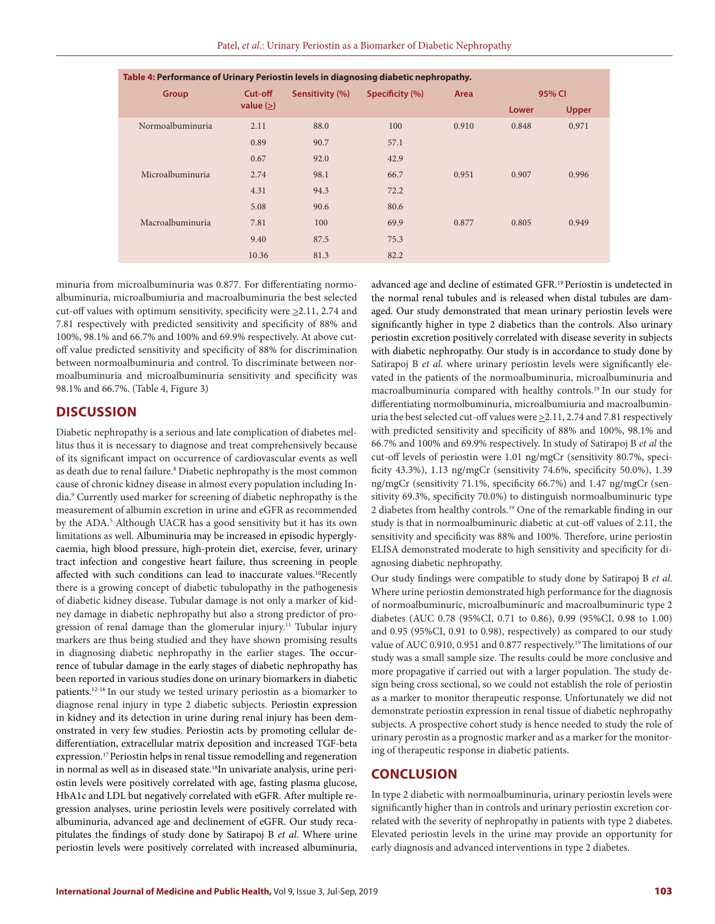| Table 4: Performance of Urinary Periostin levels in diagnosing diabetic nephropathy. |                        |                 |                 |       |        |              |  |
|--------------------------------------------------------------------------------------|------------------------|-----------------|-----------------|-------|--------|--------------|--|
| Group                                                                                | Cut-off<br>value $(>)$ | Sensitivity (%) | Specificity (%) | Area  | 95% CI |              |  |
|                                                                                      |                        |                 |                 |       | Lower  | <b>Upper</b> |  |
| Normoalbuminuria                                                                     | 2.11                   | 88.0            | 100             | 0.910 | 0.848  | 0.971        |  |
|                                                                                      | 0.89                   | 90.7            | 57.1            |       |        |              |  |
|                                                                                      | 0.67                   | 92.0            | 42.9            |       |        |              |  |
| Microalbuminuria                                                                     | 2.74                   | 98.1            | 66.7            | 0.951 | 0.907  | 0.996        |  |
|                                                                                      | 4.31                   | 94.3            | 72.2            |       |        |              |  |
|                                                                                      | 5.08                   | 90.6            | 80.6            |       |        |              |  |
| Macroalbuminuria                                                                     | 7.81                   | 100             | 69.9            | 0.877 | 0.805  | 0.949        |  |
|                                                                                      | 9.40                   | 87.5            | 75.3            |       |        |              |  |
|                                                                                      | 10.36                  | 81.3            | 82.2            |       |        |              |  |

minuria from microalbuminuria was 0.877. For differentiating normoalbuminuria, microalbumiuria and macroalbuminuria the best selected cut-off values with optimum sensitivity, specificity were >2.11, 2.74 and 7.81 respectively with predicted sensitivity and specificity of 88% and 100%, 98.1% and 66.7% and 100% and 69.9% respectively. At above cutoff value predicted sensitivity and specificity of 88% for discrimination between normoalbuminuria and control. To discriminate between normoalbuminuria and microalbuminuria sensitivity and specificity was 98.1% and 66.7%. (Table 4, Figure 3)

# **DISCUSSION**

Diabetic nephropathy is a serious and late complication of diabetes mellitus thus it is necessary to diagnose and treat comprehensively because of its significant impact on occurrence of cardiovascular events as well as death due to renal failure.8 Diabetic nephropathy is the most common cause of chronic kidney disease in almost every population including India.9 Currently used marker for screening of diabetic nephropathy is the measurement of albumin excretion in urine and eGFR as recommended by the ADA.5 Although UACR has a good sensitivity but it has its own limitations as well. Albuminuria may be increased in episodic hyperglycaemia, high blood pressure, high-protein diet, exercise, fever, urinary tract infection and congestive heart failure, thus screening in people affected with such conditions can lead to inaccurate values.<sup>10</sup>Recently there is a growing concept of diabetic tubulopathy in the pathogenesis of diabetic kidney disease. Tubular damage is not only a marker of kidney damage in diabetic nephropathy but also a strong predictor of progression of renal damage than the glomerular injury.<sup>11</sup> Tubular injury markers are thus being studied and they have shown promising results in diagnosing diabetic nephropathy in the earlier stages. The occurrence of tubular damage in the early stages of diabetic nephropathy has been reported in various studies done on urinary biomarkers in diabetic patients.12-16 In our study we tested urinary periostin as a biomarker to diagnose renal injury in type 2 diabetic subjects. Periostin expression in kidney and its detection in urine during renal injury has been demonstrated in very few studies. Periostin acts by promoting cellular dedifferentiation, extracellular matrix deposition and increased TGF-beta expression.<sup>17</sup> Periostin helps in renal tissue remodelling and regeneration in normal as well as in diseased state.<sup>18</sup>In univariate analysis, urine periostin levels were positively correlated with age, fasting plasma glucose, HbA1c and LDL but negatively correlated with eGFR. After multiple regression analyses, urine periostin levels were positively correlated with albuminuria, advanced age and declinement of eGFR. Our study recapitulates the findings of study done by Satirapoj B *et al*. Where urine periostin levels were positively correlated with increased albuminuria,

advanced age and decline of estimated GFR.19 Periostin is undetected in the normal renal tubules and is released when distal tubules are damaged. Our study demonstrated that mean urinary periostin levels were significantly higher in type 2 diabetics than the controls. Also urinary periostin excretion positively correlated with disease severity in subjects with diabetic nephropathy. Our study is in accordance to study done by Satirapoj B *et al*. where urinary periostin levels were significantly elevated in the patients of the normoalbuminuria, microalbuminuria and macroalbuminuria compared with healthy controls.19 In our study for differentiating normolbuminuria, microalbumiuria and macroalbuminuria the best selected cut-off values were  $\geq 2.11$ , 2.74 and 7.81 respectively with predicted sensitivity and specificity of 88% and 100%, 98.1% and 66.7% and 100% and 69.9% respectively. In study of Satirapoj B *et al* the cut-off levels of periostin were 1.01 ng/mgCr (sensitivity 80.7%, specificity 43.3%), 1.13 ng/mgCr (sensitivity 74.6%, specificity 50.0%), 1.39 ng/mgCr (sensitivity 71.1%, specificity 66.7%) and 1.47 ng/mgCr (sensitivity 69.3%, specificity 70.0%) to distinguish normoalbuminuric type 2 diabetes from healthy controls.19 One of the remarkable finding in our study is that in normoalbuminuric diabetic at cut-off values of 2.11, the sensitivity and specificity was 88% and 100%. Therefore, urine periostin ELISA demonstrated moderate to high sensitivity and specificity for diagnosing diabetic nephropathy.

Our study findings were compatible to study done by Satirapoj B *et al*. Where urine periostin demonstrated high performance for the diagnosis of normoalbuminuric, microalbuminuric and macroalbuminuric type 2 diabetes (AUC 0.78 (95%CI, 0.71 to 0.86), 0.99 (95%CI, 0.98 to 1.00) and 0.95 (95%CI, 0.91 to 0.98), respectively) as compared to our study value of AUC 0.910, 0.951 and 0.877 respectively.<sup>19</sup> The limitations of our study was a small sample size. The results could be more conclusive and more propagative if carried out with a larger population. The study design being cross sectional, so we could not establish the role of periostin as a marker to monitor therapeutic response. Unfortunately we did not demonstrate periostin expression in renal tissue of diabetic nephropathy subjects. A prospective cohort study is hence needed to study the role of urinary perostin as a prognostic marker and as a marker for the monitoring of therapeutic response in diabetic patients.

# **CONCLUSION**

In type 2 diabetic with normoalbuminuria, urinary periostin levels were significantly higher than in controls and urinary periostin excretion correlated with the severity of nephropathy in patients with type 2 diabetes. Elevated periostin levels in the urine may provide an opportunity for early diagnosis and advanced interventions in type 2 diabetes.